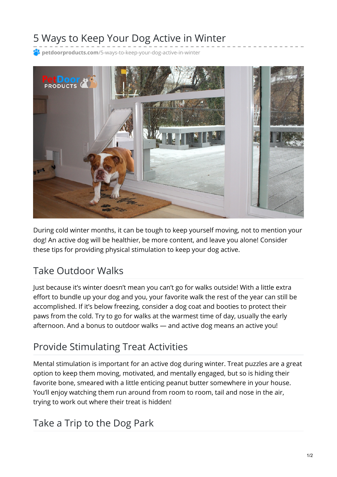# 5 Ways to Keep Your Dog Active in Winter

**petdoorproducts.com**[/5-ways-to-keep-your-dog-active-in-winter](https://petdoorproducts.com/5-ways-to-keep-your-dog-active-in-winter/)



During cold winter months, it can be tough to keep yourself moving, not to mention your dog! An active dog will be healthier, be more content, and leave you alone! Consider these tips for providing physical stimulation to keep your dog active.

#### Take Outdoor Walks

Just because it's winter doesn't mean you can't go for walks outside! With a little extra effort to bundle up your dog and you, your favorite walk the rest of the year can still be accomplished. If it's below freezing, consider a dog coat and booties to protect their paws from the cold. Try to go for walks at the warmest time of day, usually the early afternoon. And a bonus to outdoor walks — and active dog means an active you!

#### Provide Stimulating Treat Activities

Mental stimulation is important for an active dog during winter. Treat puzzles are a great option to keep them moving, motivated, and mentally engaged, but so is hiding their favorite bone, smeared with a little enticing peanut butter somewhere in your house. You'll enjoy watching them run around from room to room, tail and nose in the air, trying to work out where their treat is hidden!

#### Take a Trip to the Dog Park